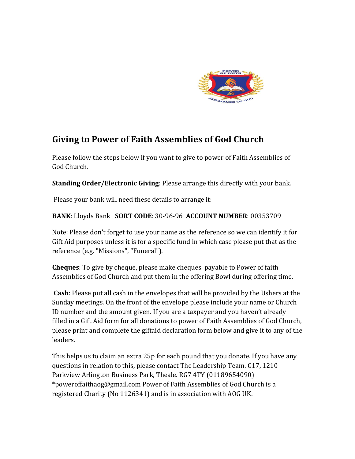

## **Giving to Power of Faith Assemblies of God Church**

Please follow the steps below if you want to give to power of Faith Assemblies of God Church.

**Standing Order/Electronic Giving**: Please arrange this directly with your bank.

Please your bank will need these details to arrange it:

**BANK**: Lloyds Bank **SORT CODE**: 30-96-96 **ACCOUNT NUMBER**: 00353709

Note: Please don't forget to use your name as the reference so we can identify it for Gift Aid purposes unless it is for a specific fund in which case please put that as the reference (e.g. "Missions", "Funeral").

**Cheques**: To give by cheque, please make cheques payable to Power of faith Assemblies of God Church and put them in the offering Bowl during offering time.

**Cash**: Please put all cash in the envelopes that will be provided by the Ushers at the Sunday meetings. On the front of the envelope please include your name or Church ID number and the amount given. If you are a taxpayer and you haven't already filled in a Gift Aid form for all donations to power of Faith Assemblies of God Church, please print and complete the giftaid declaration form below and give it to any of the leaders.

This helps us to claim an extra 25p for each pound that you donate. If you have any questions in relation to this, please contact The Leadership Team. G17, 1210 Parkview Arlington Business Park, Theale. RG7 4TY (01189654090) \*poweroffaithaog@gmail.com Power of Faith Assemblies of God Church is a registered Charity (No 1126341) and is in association with AOG UK.